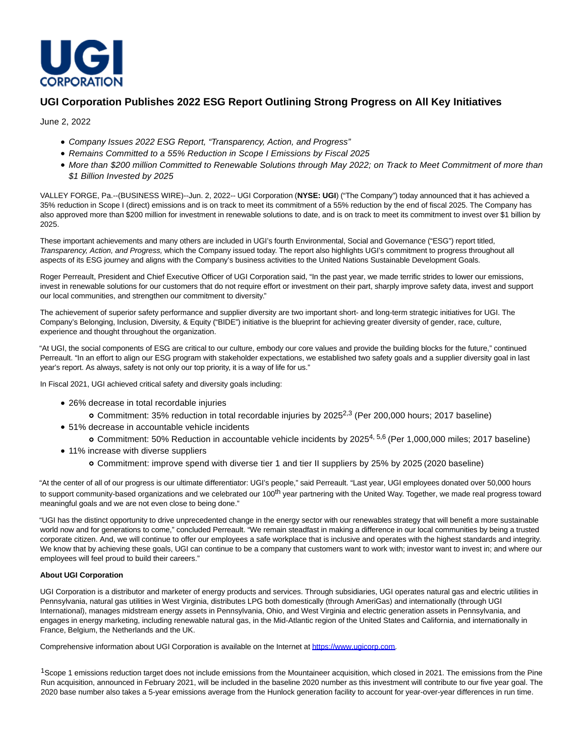

## **UGI Corporation Publishes 2022 ESG Report Outlining Strong Progress on All Key Initiatives**

June 2, 2022

- Company Issues 2022 ESG Report, "Transparency, Action, and Progress"
- Remains Committed to a 55% Reduction in Scope I Emissions by Fiscal 2025
- More than \$200 million Committed to Renewable Solutions through May 2022; on Track to Meet Commitment of more than \$1 Billion Invested by 2025

VALLEY FORGE, Pa.--(BUSINESS WIRE)--Jun. 2, 2022-- UGI Corporation (**NYSE: UGI**) ("The Company") today announced that it has achieved a 35% reduction in Scope I (direct) emissions and is on track to meet its commitment of a 55% reduction by the end of fiscal 2025. The Company has also approved more than \$200 million for investment in renewable solutions to date, and is on track to meet its commitment to invest over \$1 billion by 2025.

These important achievements and many others are included in UGI's fourth Environmental, Social and Governance ("ESG") report titled, Transparency, Action, and Progress, which the Company issued today. The report also highlights UGI's commitment to progress throughout all aspects of its ESG journey and aligns with the Company's business activities to the United Nations Sustainable Development Goals.

Roger Perreault, President and Chief Executive Officer of UGI Corporation said, "In the past year, we made terrific strides to lower our emissions, invest in renewable solutions for our customers that do not require effort or investment on their part, sharply improve safety data, invest and support our local communities, and strengthen our commitment to diversity."

The achievement of superior safety performance and supplier diversity are two important short- and long-term strategic initiatives for UGI. The Company's Belonging, Inclusion, Diversity, & Equity ("BIDE") initiative is the blueprint for achieving greater diversity of gender, race, culture, experience and thought throughout the organization.

"At UGI, the social components of ESG are critical to our culture, embody our core values and provide the building blocks for the future," continued Perreault. "In an effort to align our ESG program with stakeholder expectations, we established two safety goals and a supplier diversity goal in last year's report. As always, safety is not only our top priority, it is a way of life for us."

In Fiscal 2021, UGI achieved critical safety and diversity goals including:

- 26% decrease in total recordable injuries
	- o Commitment: 35% reduction in total recordable injuries by 2025<sup>2,3</sup> (Per 200,000 hours; 2017 baseline)
- 51% decrease in accountable vehicle incidents
	- Commitment: 50% Reduction in accountable vehicle incidents by 20254, 5,6 (Per 1,000,000 miles; 2017 baseline)
- 11% increase with diverse suppliers
	- Commitment: improve spend with diverse tier 1 and tier II suppliers by 25% by 2025 (2020 baseline)

"At the center of all of our progress is our ultimate differentiator: UGI's people," said Perreault. "Last year, UGI employees donated over 50,000 hours to support community-based organizations and we celebrated our 100<sup>th</sup> year partnering with the United Way. Together, we made real progress toward meaningful goals and we are not even close to being done."

"UGI has the distinct opportunity to drive unprecedented change in the energy sector with our renewables strategy that will benefit a more sustainable world now and for generations to come," concluded Perreault. "We remain steadfast in making a difference in our local communities by being a trusted corporate citizen. And, we will continue to offer our employees a safe workplace that is inclusive and operates with the highest standards and integrity. We know that by achieving these goals, UGI can continue to be a company that customers want to work with; investor want to invest in; and where our employees will feel proud to build their careers."

## **About UGI Corporation**

UGI Corporation is a distributor and marketer of energy products and services. Through subsidiaries, UGI operates natural gas and electric utilities in Pennsylvania, natural gas utilities in West Virginia, distributes LPG both domestically (through AmeriGas) and internationally (through UGI International), manages midstream energy assets in Pennsylvania, Ohio, and West Virginia and electric generation assets in Pennsylvania, and engages in energy marketing, including renewable natural gas, in the Mid-Atlantic region of the United States and California, and internationally in France, Belgium, the Netherlands and the UK.

Comprehensive information about UGI Corporation is available on the Internet at [https://www.ugicorp.com.](https://cts.businesswire.com/ct/CT?id=smartlink&url=https%3A%2F%2Fwww.ugicorp.com&esheet=52737320&newsitemid=20220602005301&lan=en-US&anchor=https%3A%2F%2Fwww.ugicorp.com&index=1&md5=2e751e17a50010e600651e9ba08e4f5c)

<sup>1</sup>Scope 1 emissions reduction target does not include emissions from the Mountaineer acquisition, which closed in 2021. The emissions from the Pine Run acquisition, announced in February 2021, will be included in the baseline 2020 number as this investment will contribute to our five year goal. The 2020 base number also takes a 5-year emissions average from the Hunlock generation facility to account for year-over-year differences in run time.